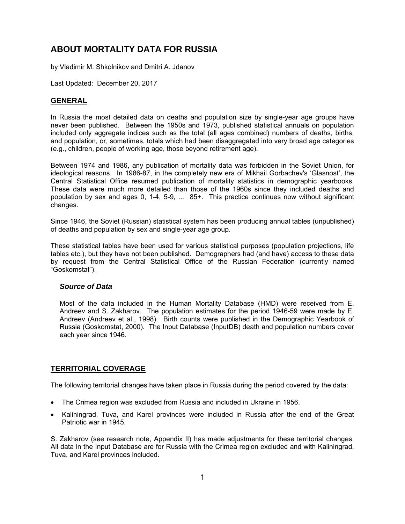# **ABOUT MORTALITY DATA FOR RUSSIA**

by Vladimir M. Shkolnikov and Dmitri A. Jdanov

Last Updated: December 20, 2017

## **GENERAL**

In Russia the most detailed data on deaths and population size by single-year age groups have never been published. Between the 1950s and 1973, published statistical annuals on population included only aggregate indices such as the total (all ages combined) numbers of deaths, births, and population, or, sometimes, totals which had been disaggregated into very broad age categories (e.g., children, people of working age, those beyond retirement age).

Between 1974 and 1986, any publication of mortality data was forbidden in the Soviet Union, for ideological reasons. In 1986-87, in the completely new era of Mikhail Gorbachev's 'Glasnost', the Central Statistical Office resumed publication of mortality statistics in demographic yearbooks. These data were much more detailed than those of the 1960s since they included deaths and population by sex and ages 0, 1-4, 5-9, ... 85+. This practice continues now without significant changes.

Since 1946, the Soviet (Russian) statistical system has been producing annual tables (unpublished) of deaths and population by sex and single-year age group.

These statistical tables have been used for various statistical purposes (population projections, life tables etc.), but they have not been published. Demographers had (and have) access to these data by request from the Central Statistical Office of the Russian Federation (currently named "Goskomstat").

### *Source of Data*

Most of the data included in the Human Mortality Database (HMD) were received from E. Andreev and S. Zakharov. The population estimates for the period 1946-59 were made by E. Andreev (Andreev et al., 1998). Birth counts were published in the Demographic Yearbook of Russia (Goskomstat, 2000). The Input Database (InputDB) death and population numbers cover each year since 1946.

# **TERRITORIAL COVERAGE**

The following territorial changes have taken place in Russia during the period covered by the data:

- The Crimea region was excluded from Russia and included in Ukraine in 1956.
- Kaliningrad, Tuva, and Karel provinces were included in Russia after the end of the Great Patriotic war in 1945.

S. Zakharov (see research note, Appendix II) has made adjustments for these territorial changes. All data in the Input Database are for Russia with the Crimea region excluded and with Kaliningrad, Tuva, and Karel provinces included.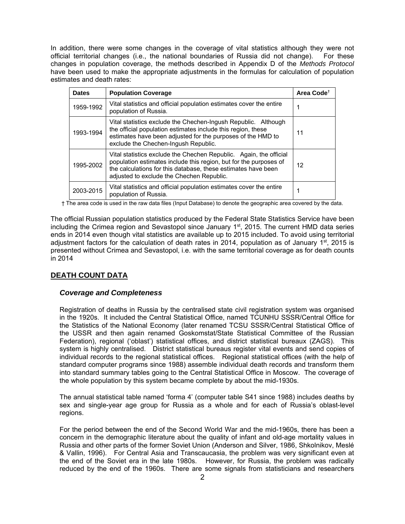In addition, there were some changes in the coverage of vital statistics although they were not official territorial changes (i.e., the national boundaries of Russia did not change). For these changes in population coverage, the methods described in Appendix D of the *Methods Protocol* have been used to make the appropriate adjustments in the formulas for calculation of population estimates and death rates:

| <b>Dates</b> | <b>Population Coverage</b>                                                                                                                                                                                                                            | Area Code <sup>t</sup> |
|--------------|-------------------------------------------------------------------------------------------------------------------------------------------------------------------------------------------------------------------------------------------------------|------------------------|
| 1959-1992    | Vital statistics and official population estimates cover the entire<br>population of Russia.                                                                                                                                                          |                        |
| 1993-1994    | Vital statistics exclude the Chechen-Ingush Republic. Although<br>the official population estimates include this region, these<br>estimates have been adjusted for the purposes of the HMD to<br>exclude the Chechen-Ingush Republic.                 | 11                     |
| 1995-2002    | Vital statistics exclude the Chechen Republic. Again, the official<br>population estimates include this region, but for the purposes of<br>the calculations for this database, these estimates have been<br>adjusted to exclude the Chechen Republic. |                        |
| 2003-2015    | Vital statistics and official population estimates cover the entire<br>population of Russia.                                                                                                                                                          |                        |

† The area code is used in the raw data files (Input Database) to denote the geographic area covered by the data.

The official Russian population statistics produced by the Federal State Statistics Service have been including the Crimea region and Sevastopol since January 1<sup>st</sup>, 2015. The current HMD data series ends in 2014 even though vital statistics are available up to 2015 included. To avoid using territorial adjustment factors for the calculation of death rates in 2014, population as of January  $1<sup>st</sup>$ , 2015 is presented without Crimea and Sevastopol, i.e. with the same territorial coverage as for death counts in 2014

# **DEATH COUNT DATA**

### *Coverage and Completeness*

Registration of deaths in Russia by the centralised state civil registration system was organised in the 1920s. It included the Central Statistical Office, named TCUNHU SSSR/Central Office for the Statistics of the National Economy (later renamed TCSU SSSR/Central Statistical Office of the USSR and then again renamed Goskomstat/State Statistical Committee of the Russian Federation), regional ('oblast') statistical offices, and district statistical bureaux (ZAGS). This system is highly centralised. District statistical bureaus register vital events and send copies of individual records to the regional statistical offices. Regional statistical offices (with the help of standard computer programs since 1988) assemble individual death records and transform them into standard summary tables going to the Central Statistical Office in Moscow. The coverage of the whole population by this system became complete by about the mid-1930s.

The annual statistical table named 'forma 4' (computer table S41 since 1988) includes deaths by sex and single-year age group for Russia as a whole and for each of Russia's oblast-level regions.

For the period between the end of the Second World War and the mid-1960s, there has been a concern in the demographic literature about the quality of infant and old-age mortality values in Russia and other parts of the former Soviet Union (Anderson and Silver, 1986, Shkolnikov, Meslé & Vallin, 1996). For Central Asia and Transcaucasia, the problem was very significant even at the end of the Soviet era in the late 1980s. However, for Russia, the problem was radically reduced by the end of the 1960s. There are some signals from statisticians and researchers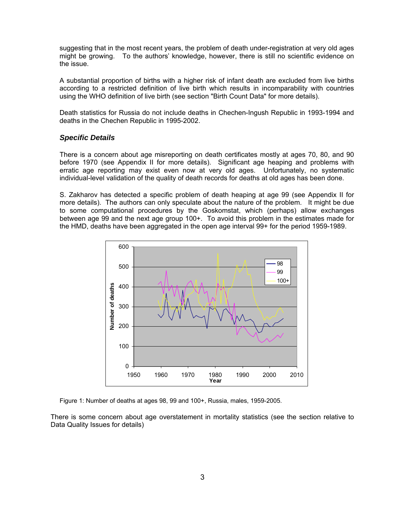suggesting that in the most recent years, the problem of death under-registration at very old ages might be growing. To the authors' knowledge, however, there is still no scientific evidence on the issue.

A substantial proportion of births with a higher risk of infant death are excluded from live births according to a restricted definition of live birth which results in incomparability with countries using the WHO definition of live birth (see section "Birth Count Data" for more details).

Death statistics for Russia do not include deaths in Chechen-Ingush Republic in 1993-1994 and deaths in the Chechen Republic in 1995-2002.

### *Specific Details*

There is a concern about age misreporting on death certificates mostly at ages 70, 80, and 90 before 1970 (see Appendix II for more details). Significant age heaping and problems with erratic age reporting may exist even now at very old ages. Unfortunately, no systematic individual-level validation of the quality of death records for deaths at old ages has been done.

S. Zakharov has detected a specific problem of death heaping at age 99 (see Appendix II for more details). The authors can only speculate about the nature of the problem. It might be due to some computational procedures by the Goskomstat, which (perhaps) allow exchanges between age 99 and the next age group 100+. To avoid this problem in the estimates made for the HMD, deaths have been aggregated in the open age interval 99+ for the period 1959-1989.



Figure 1: Number of deaths at ages 98, 99 and 100+, Russia, males, 1959-2005.

There is some concern about age overstatement in mortality statistics (see the section relative to Data Quality Issues for details)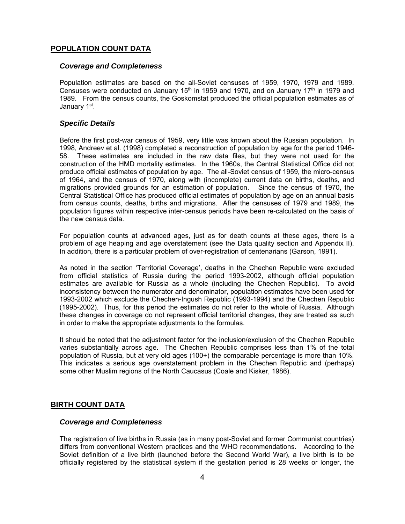## **POPULATION COUNT DATA**

### *Coverage and Completeness*

Population estimates are based on the all-Soviet censuses of 1959, 1970, 1979 and 1989. Censuses were conducted on January  $15<sup>th</sup>$  in 1959 and 1970, and on January 17<sup>th</sup> in 1979 and 1989. From the census counts, the Goskomstat produced the official population estimates as of January 1<sup>st</sup>.

### *Specific Details*

Before the first post-war census of 1959, very little was known about the Russian population. In 1998, Andreev et al. (1998) completed a reconstruction of population by age for the period 1946- 58. These estimates are included in the raw data files, but they were not used for the construction of the HMD mortality estimates. In the 1960s, the Central Statistical Office did not produce official estimates of population by age. The all-Soviet census of 1959, the micro-census of 1964, and the census of 1970, along with (incomplete) current data on births, deaths, and migrations provided grounds for an estimation of population. Since the census of 1970, the Central Statistical Office has produced official estimates of population by age on an annual basis from census counts, deaths, births and migrations. After the censuses of 1979 and 1989, the population figures within respective inter-census periods have been re-calculated on the basis of the new census data.

For population counts at advanced ages, just as for death counts at these ages, there is a problem of age heaping and age overstatement (see the Data quality section and Appendix II). In addition, there is a particular problem of over-registration of centenarians (Garson, 1991).

As noted in the section 'Territorial Coverage', deaths in the Chechen Republic were excluded from official statistics of Russia during the period 1993-2002, although official population estimates are available for Russia as a whole (including the Chechen Republic). To avoid inconsistency between the numerator and denominator, population estimates have been used for 1993-2002 which exclude the Chechen-Ingush Republic (1993-1994) and the Chechen Republic (1995-2002). Thus, for this period the estimates do not refer to the whole of Russia. Although these changes in coverage do not represent official territorial changes, they are treated as such in order to make the appropriate adjustments to the formulas.

It should be noted that the adjustment factor for the inclusion/exclusion of the Chechen Republic varies substantially across age. The Chechen Republic comprises less than 1% of the total population of Russia, but at very old ages (100+) the comparable percentage is more than 10%. This indicates a serious age overstatement problem in the Chechen Republic and (perhaps) some other Muslim regions of the North Caucasus (Coale and Kisker, 1986).

### **BIRTH COUNT DATA**

### *Coverage and Completeness*

The registration of live births in Russia (as in many post-Soviet and former Communist countries) differs from conventional Western practices and the WHO recommendations. According to the Soviet definition of a live birth (launched before the Second World War), a live birth is to be officially registered by the statistical system if the gestation period is 28 weeks or longer, the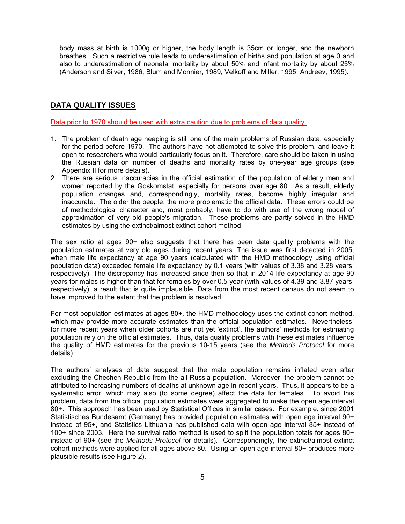body mass at birth is 1000g or higher, the body length is 35cm or longer, and the newborn breathes. Such a restrictive rule leads to underestimation of births and population at age 0 and also to underestimation of neonatal mortality by about 50% and infant mortality by about 25% (Anderson and Silver, 1986, Blum and Monnier, 1989, Velkoff and Miller, 1995, Andreev, 1995).

## **DATA QUALITY ISSUES**

Data prior to 1970 should be used with extra caution due to problems of data quality.

- 1. The problem of death age heaping is still one of the main problems of Russian data, especially for the period before 1970. The authors have not attempted to solve this problem, and leave it open to researchers who would particularly focus on it. Therefore, care should be taken in using the Russian data on number of deaths and mortality rates by one-year age groups (see Appendix II for more details).
- 2. There are serious inaccuracies in the official estimation of the population of elderly men and women reported by the Goskomstat, especially for persons over age 80. As a result, elderly population changes and, correspondingly, mortality rates, become highly irregular and inaccurate. The older the people, the more problematic the official data. These errors could be of methodological character and, most probably, have to do with use of the wrong model of approximation of very old people's migration. These problems are partly solved in the HMD estimates by using the extinct/almost extinct cohort method.

The sex ratio at ages 90+ also suggests that there has been data quality problems with the population estimates at very old ages during recent years. The issue was first detected in 2005, when male life expectancy at age 90 years (calculated with the HMD methodology using official population data) exceeded female life expectancy by 0.1 years (with values of 3.38 and 3.28 years, respectively). The discrepancy has increased since then so that in 2014 life expectancy at age 90 years for males is higher than that for females by over 0.5 year (with values of 4.39 and 3.87 years, respectively), a result that is quite implausible. Data from the most recent census do not seem to have improved to the extent that the problem is resolved.

For most population estimates at ages 80+, the HMD methodology uses the extinct cohort method, which may provide more accurate estimates than the official population estimates. Nevertheless, for more recent years when older cohorts are not yet 'extinct', the authors' methods for estimating population rely on the official estimates. Thus, data quality problems with these estimates influence the quality of HMD estimates for the previous 10-15 years (see the *Methods Protocol* for more details).

The authors' analyses of data suggest that the male population remains inflated even after excluding the Chechen Republic from the all-Russia population. Moreover, the problem cannot be attributed to increasing numbers of deaths at unknown age in recent years. Thus, it appears to be a systematic error, which may also (to some degree) affect the data for females. To avoid this problem, data from the official population estimates were aggregated to make the open age interval 80+. This approach has been used by Statistical Offices in similar cases. For example, since 2001 Statistisches Bundesamt (Germany) has provided population estimates with open age interval 90+ instead of 95+, and Statistics Lithuania has published data with open age interval 85+ instead of 100+ since 2003. Here the survival ratio method is used to split the population totals for ages 80+ instead of 90+ (see the *Methods Protocol* for details). Correspondingly, the extinct/almost extinct cohort methods were applied for all ages above 80. Using an open age interval 80+ produces more plausible results (see Figure 2).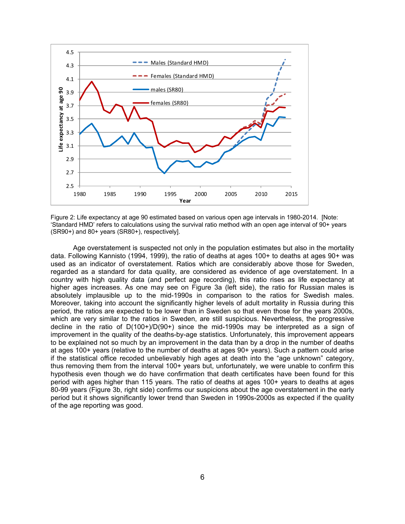

Figure 2: Life expectancy at age 90 estimated based on various open age intervals in 1980-2014. [Note: 'Standard HMD' refers to calculations using the survival ratio method with an open age interval of 90+ years (SR90+) and 80+ years (SR80+), respectively].

Age overstatement is suspected not only in the population estimates but also in the mortality data. Following Kannisto (1994, 1999), the ratio of deaths at ages 100+ to deaths at ages 90+ was used as an indicator of overstatement. Ratios which are considerably above those for Sweden, regarded as a standard for data quality, are considered as evidence of age overstatement. In a country with high quality data (and perfect age recording), this ratio rises as life expectancy at higher ages increases. As one may see on Figure 3a (left side), the ratio for Russian males is absolutely implausible up to the mid-1990s in comparison to the ratios for Swedish males. Moreover, taking into account the significantly higher levels of adult mortality in Russia during this period, the ratios are expected to be lower than in Sweden so that even those for the years 2000s, which are very similar to the ratios in Sweden, are still suspicious. Nevertheless, the progressive decline in the ratio of D(100+)/D(90+) since the mid-1990s may be interpreted as a sign of improvement in the quality of the deaths-by-age statistics. Unfortunately, this improvement appears to be explained not so much by an improvement in the data than by a drop in the number of deaths at ages 100+ years (relative to the number of deaths at ages 90+ years). Such a pattern could arise if the statistical office recoded unbelievably high ages at death into the "age unknown" category, thus removing them from the interval 100+ years but, unfortunately, we were unable to confirm this hypothesis even though we do have confirmation that death certificates have been found for this period with ages higher than 115 years. The ratio of deaths at ages 100+ years to deaths at ages 80-99 years (Figure 3b, right side) confirms our suspicions about the age overstatement in the early period but it shows significantly lower trend than Sweden in 1990s-2000s as expected if the quality of the age reporting was good.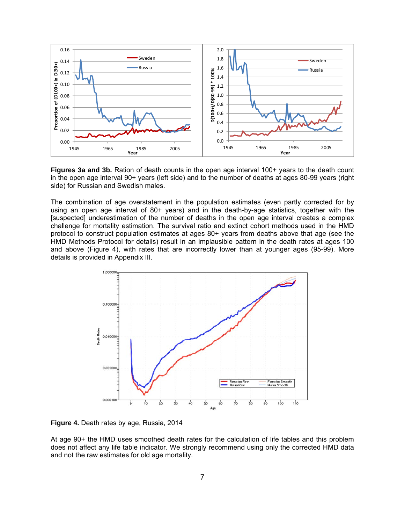

**Figures 3a and 3b.** Ration of death counts in the open age interval 100+ years to the death count in the open age interval 90+ years (left side) and to the number of deaths at ages 80-99 years (right side) for Russian and Swedish males.

The combination of age overstatement in the population estimates (even partly corrected for by using an open age interval of 80+ years) and in the death-by-age statistics, together with the [suspected] underestimation of the number of deaths in the open age interval creates a complex challenge for mortality estimation. The survival ratio and extinct cohort methods used in the HMD protocol to construct population estimates at ages 80+ years from deaths above that age (see the HMD Methods Protocol for details) result in an implausible pattern in the death rates at ages 100 and above (Figure 4), with rates that are incorrectly lower than at younger ages (95-99). More details is provided in Appendix III.



**Figure 4.** Death rates by age, Russia, 2014

At age 90+ the HMD uses smoothed death rates for the calculation of life tables and this problem does not affect any life table indicator. We strongly recommend using only the corrected HMD data and not the raw estimates for old age mortality.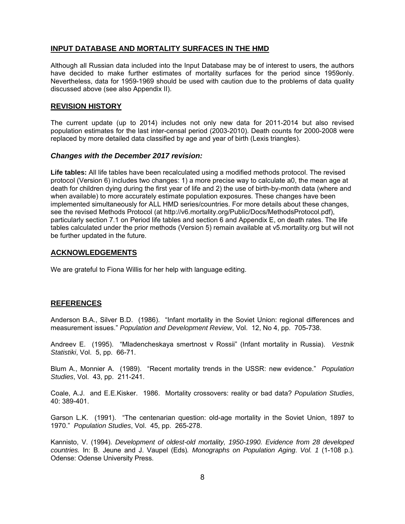### **INPUT DATABASE AND MORTALITY SURFACES IN THE HMD**

Although all Russian data included into the Input Database may be of interest to users, the authors have decided to make further estimates of mortality surfaces for the period since 1959only. Nevertheless, data for 1959-1969 should be used with caution due to the problems of data quality discussed above (see also Appendix II).

### **REVISION HISTORY**

The current update (up to 2014) includes not only new data for 2011-2014 but also revised population estimates for the last inter-censal period (2003-2010). Death counts for 2000-2008 were replaced by more detailed data classified by age and year of birth (Lexis triangles).

#### *Changes with the December 2017 revision:*

**Life tables:** All life tables have been recalculated using a modified methods protocol. The revised protocol (Version 6) includes two changes: 1) a more precise way to calculate a0, the mean age at death for children dying during the first year of life and 2) the use of birth-by-month data (where and when available) to more accurately estimate population exposures. These changes have been implemented simultaneously for ALL HMD series/countries. For more details about these changes, see the revised Methods Protocol (at http://v6.mortality.org/Public/Docs/MethodsProtocol.pdf), particularly section 7.1 on Period life tables and section 6 and Appendix E, on death rates. The life tables calculated under the prior methods (Version 5) remain available at v5.mortality.org but will not be further updated in the future.

### **ACKNOWLEDGEMENTS**

We are grateful to Fiona Willis for her help with language editing.

#### **REFERENCES**

Anderson B.A., Silver B.D. (1986). "Infant mortality in the Soviet Union: regional differences and measurement issues." *Population and Development Review*, Vol. 12, No 4, pp. 705-738.

Andreev E. (1995). "Mladencheskaya smertnost v Rossii" (Infant mortality in Russia). *Vestnik Statistiki*, Vol. 5, pp. 66-71.

Blum A., Monnier A. (1989). "Recent mortality trends in the USSR: new evidence." *Population Studies*, Vol. 43, pp. 211-241.

Coale, A.J. and E.E.Kisker. 1986. Mortality crossovers: reality or bad data? *Population Studies*, 40: 389-401.

Garson L.K. (1991). "The centenarian question: old-age mortality in the Soviet Union, 1897 to 1970." *Population Studies*, Vol. 45, pp. 265-278.

Kannisto, V. (1994). *Development of oldest-old mortality, 1950-1990. Evidence from 28 developed countries.* In: B. Jeune and J. Vaupel (Eds)*. Monographs on Population Aging*. *Vol. 1* (1-108 p.)*.* Odense: Odense University Press.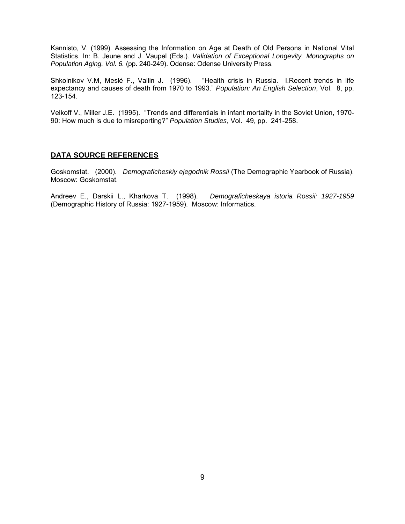Kannisto, V. (1999). Assessing the Information on Age at Death of Old Persons in National Vital Statistics. In: B. Jeune and J. Vaupel (Eds.). *Validation of Exceptional Longevity. Monographs on Population Aging. Vol. 6.* (pp. 240-249). Odense: Odense University Press.

Shkolnikov V.M, Meslé F., Vallin J. (1996). "Health crisis in Russia. I.Recent trends in life expectancy and causes of death from 1970 to 1993." *Population: An English Selection*, Vol. 8, pp. 123-154.

Velkoff V., Miller J.E. (1995). "Trends and differentials in infant mortality in the Soviet Union, 1970- 90: How much is due to misreporting?" *Population Studies*, Vol. 49, pp. 241-258.

### **DATA SOURCE REFERENCES**

Goskomstat. (2000). *Demograficheskiy ejegodnik Rossii* (The Demographic Yearbook of Russia). Moscow: Goskomstat.

Andreev E., Darskii L., Kharkova T. (1998). *Demograficheskaya istoria Rossii: 1927-1959* (Demographic History of Russia: 1927-1959). Moscow: Informatics.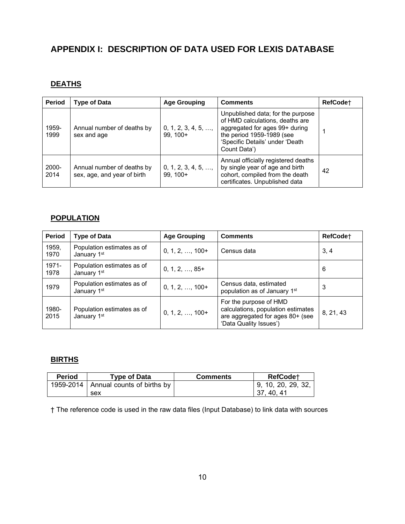# **APPENDIX I: DESCRIPTION OF DATA USED FOR LEXIS DATABASE**

# **DEATHS**

| <b>Period</b> | <b>Type of Data</b>                                       | <b>Age Grouping</b>                      | <b>Comments</b>                                                                                                                                                                        | RefCode <sup>+</sup> |
|---------------|-----------------------------------------------------------|------------------------------------------|----------------------------------------------------------------------------------------------------------------------------------------------------------------------------------------|----------------------|
| 1959-<br>1999 | Annual number of deaths by<br>sex and age                 | $0, 1, 2, 3, 4, 5, \ldots$<br>$99, 100+$ | Unpublished data; for the purpose<br>of HMD calculations, deaths are<br>aggregated for ages 99+ during<br>the period 1959-1989 (see<br>'Specific Details' under 'Death<br>Count Data') |                      |
| 2000-<br>2014 | Annual number of deaths by<br>sex, age, and year of birth | $0, 1, 2, 3, 4, 5, \ldots$<br>$99.100+$  | Annual officially registered deaths<br>by single year of age and birth<br>cohort, compiled from the death<br>certificates. Unpublished data                                            | 42                   |

# **POPULATION**

| <b>Period</b> | <b>Type of Data</b>                       | <b>Age Grouping</b>     | <b>Comments</b>                                                                                                            | RefCode <sup>+</sup> |
|---------------|-------------------------------------------|-------------------------|----------------------------------------------------------------------------------------------------------------------------|----------------------|
| 1959,<br>1970 | Population estimates as of<br>January 1st | $0, 1, 2, \ldots, 100+$ | Census data                                                                                                                | 3.4                  |
| 1971-<br>1978 | Population estimates as of<br>January 1st | $0, 1, 2, \ldots, 85+$  |                                                                                                                            | 6                    |
| 1979          | Population estimates as of<br>January 1st | $0, 1, 2, \ldots, 100+$ | Census data, estimated<br>population as of January 1st                                                                     | 3                    |
| 1980-<br>2015 | Population estimates as of<br>January 1st | $0, 1, 2, \ldots, 100+$ | For the purpose of HMD<br>calculations, population estimates<br>are aggregated for ages 80+ (see<br>'Data Quality Issues') | 8, 21, 43            |

# **BIRTHS**

| Period | Type of Data                             | <b>Comments</b> | RefCode <sup>+</sup>       |
|--------|------------------------------------------|-----------------|----------------------------|
|        | 1959-2014   Annual counts of births by I |                 | $\vert$ 9, 10, 20, 29, 32, |
|        | sex                                      |                 | 37.40.41                   |

† The reference code is used in the raw data files (Input Database) to link data with sources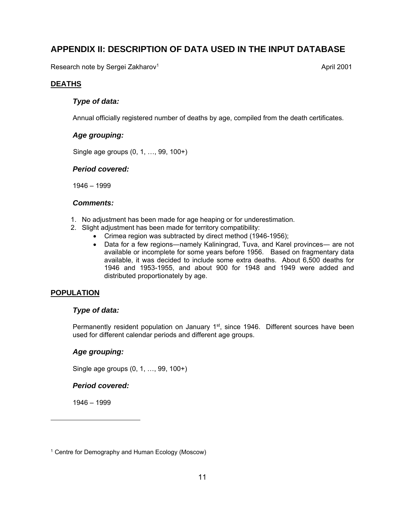# **APPENDIX II: DESCRIPTION OF DATA USED IN THE INPUT DATABASE**

Research note by Sergei Zakharov<sup>1</sup>

April 2001

# **DEATHS**

# *Type of data:*

Annual officially registered number of deaths by age, compiled from the death certificates.

## *Age grouping:*

Single age groups (0, 1, …, 99, 100+)

### *Period covered:*

1946 – 1999

### *Comments:*

- 1. No adjustment has been made for age heaping or for underestimation.
- 2. Slight adjustment has been made for territory compatibility:
	- Crimea region was subtracted by direct method (1946-1956);
	- Data for a few regions—namely Kaliningrad, Tuva, and Karel provinces— are not available or incomplete for some years before 1956. Based on fragmentary data available, it was decided to include some extra deaths. About 6,500 deaths for 1946 and 1953-1955, and about 900 for 1948 and 1949 were added and distributed proportionately by age.

# **POPULATION**

### *Type of data:*

Permanently resident population on January  $1<sup>st</sup>$ , since 1946. Different sources have been used for different calendar periods and different age groups.

# *Age grouping:*

Single age groups (0, 1, …, 99, 100+)

### *Period covered:*

1946 – 1999

l

<sup>1</sup> Centre for Demography and Human Ecology (Moscow)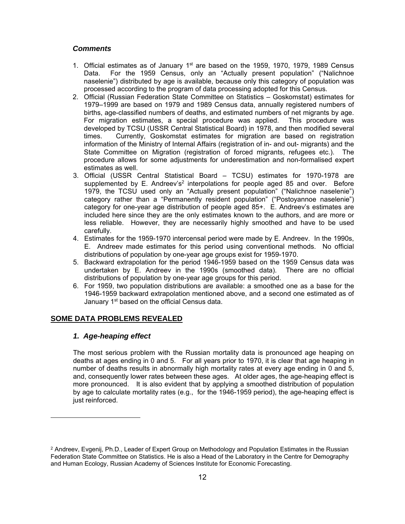### *Comments*

- 1. Official estimates as of January  $1<sup>st</sup>$  are based on the 1959, 1970, 1979, 1989 Census Data. For the 1959 Census, only an "Actually present population" ("Nalichnoe naselenie") distributed by age is available, because only this category of population was processed according to the program of data processing adopted for this Census.
- 2. Official (Russian Federation State Committee on Statistics Goskomstat) estimates for 1979–1999 are based on 1979 and 1989 Census data, annually registered numbers of births, age-classified numbers of deaths, and estimated numbers of net migrants by age. For migration estimates, a special procedure was applied. This procedure was developed by TCSU (USSR Central Statistical Board) in 1978, and then modified several times. Currently, Goskomstat estimates for migration are based on registration information of the Ministry of Internal Affairs (registration of in- and out- migrants) and the State Committee on Migration (registration of forced migrants, refugees etc.). The procedure allows for some adjustments for underestimation and non-formalised expert estimates as well.
- 3. Official (USSR Central Statistical Board TCSU) estimates for 1970-1978 are supplemented by E. Andreev's<sup>2</sup> interpolations for people aged 85 and over. Before 1979, the TCSU used only an "Actually present population" ("Nalichnoe naselenie") category rather than a "Permanently resident population" ("Postoyannoe naselenie") category for one-year age distribution of people aged 85+. E. Andreev's estimates are included here since they are the only estimates known to the authors, and are more or less reliable. However, they are necessarily highly smoothed and have to be used carefully.
- 4. Estimates for the 1959-1970 intercensal period were made by E. Andreev. In the 1990s, E. Andreev made estimates for this period using conventional methods. No official distributions of population by one-year age groups exist for 1959-1970.
- 5. Backward extrapolation for the period 1946-1959 based on the 1959 Census data was undertaken by E. Andreev in the 1990s (smoothed data). There are no official distributions of population by one-year age groups for this period.
- 6. For 1959, two population distributions are available: a smoothed one as a base for the 1946-1959 backward extrapolation mentioned above, and a second one estimated as of January 1<sup>st</sup> based on the official Census data.

### **SOME DATA PROBLEMS REVEALED**

### *1. Age-heaping effect*

 $\overline{a}$ 

The most serious problem with the Russian mortality data is pronounced age heaping on deaths at ages ending in 0 and 5. For all years prior to 1970, it is clear that age heaping in number of deaths results in abnormally high mortality rates at every age ending in 0 and 5, and, consequently lower rates between these ages. At older ages, the age-heaping effect is more pronounced. It is also evident that by applying a smoothed distribution of population by age to calculate mortality rates (e.g., for the 1946-1959 period), the age-heaping effect is just reinforced.

<sup>2</sup> Andreev, Evgenij, Ph.D., Leader of Expert Group on Methodology and Population Estimates in the Russian Federation State Committee on Statistics. He is also a Head of the Laboratory in the Centre for Demography and Human Ecology, Russian Academy of Sciences Institute for Economic Forecasting.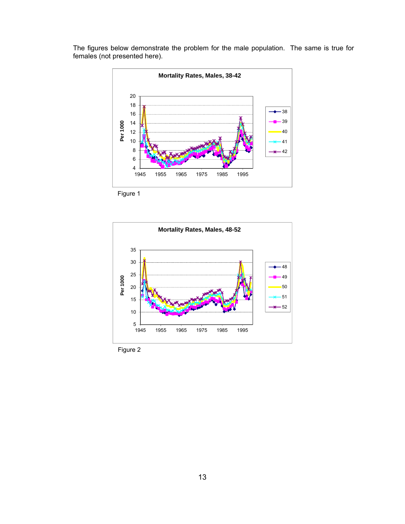

The figures below demonstrate the problem for the male population. The same is true for females (not presented here).

Figure 1



Figure 2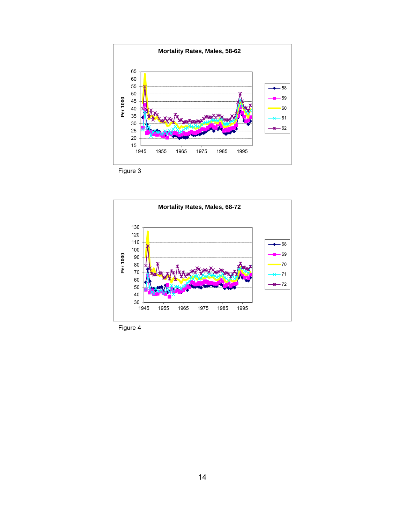

Figure 3



Figure 4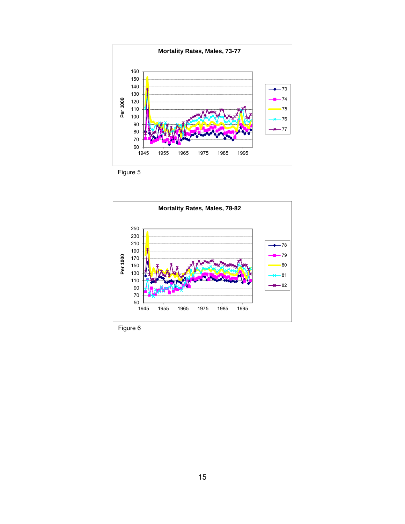



Figure 6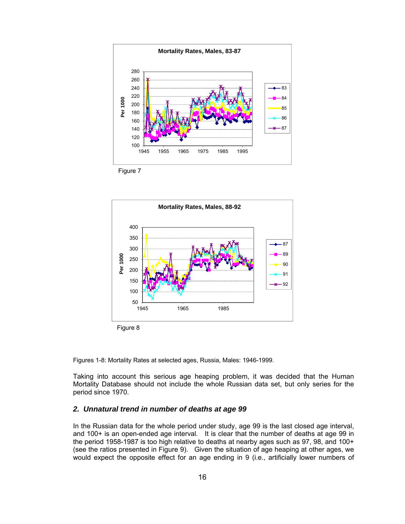



Figures 1-8: Mortality Rates at selected ages, Russia, Males: 1946-1999.

Taking into account this serious age heaping problem, it was decided that the Human Mortality Database should not include the whole Russian data set, but only series for the period since 1970.

### *2. Unnatural trend in number of deaths at age 99*

In the Russian data for the whole period under study, age 99 is the last closed age interval, and 100+ is an open-ended age interval. It is clear that the number of deaths at age 99 in the period 1958-1987 is too high relative to deaths at nearby ages such as 97, 98, and 100+ (see the ratios presented in Figure 9). Given the situation of age heaping at other ages, we would expect the opposite effect for an age ending in 9 (i.e., artificially lower numbers of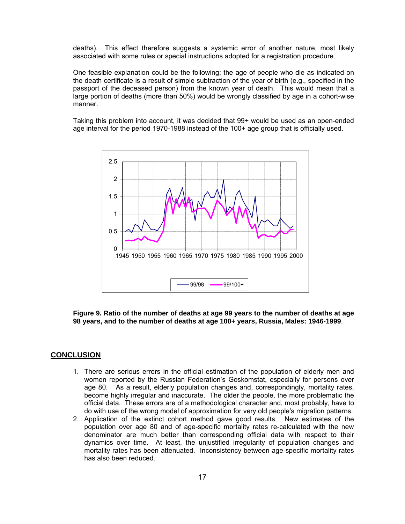deaths). This effect therefore suggests a systemic error of another nature, most likely associated with some rules or special instructions adopted for a registration procedure.

One feasible explanation could be the following; the age of people who die as indicated on the death certificate is a result of simple subtraction of the year of birth (e.g., specified in the passport of the deceased person) from the known year of death. This would mean that a large portion of deaths (more than 50%) would be wrongly classified by age in a cohort-wise manner.

Taking this problem into account, it was decided that 99+ would be used as an open-ended age interval for the period 1970-1988 instead of the 100+ age group that is officially used.



**Figure 9. Ratio of the number of deaths at age 99 years to the number of deaths at age 98 years, and to the number of deaths at age 100+ years, Russia, Males: 1946-1999**.

### **CONCLUSION**

- 1. There are serious errors in the official estimation of the population of elderly men and women reported by the Russian Federation's Goskomstat, especially for persons over age 80. As a result, elderly population changes and, correspondingly, mortality rates, become highly irregular and inaccurate. The older the people, the more problematic the official data. These errors are of a methodological character and, most probably, have to do with use of the wrong model of approximation for very old people's migration patterns.
- 2. Application of the extinct cohort method gave good results. New estimates of the population over age 80 and of age-specific mortality rates re-calculated with the new denominator are much better than corresponding official data with respect to their dynamics over time. At least, the unjustified irregularity of population changes and mortality rates has been attenuated. Inconsistency between age-specific mortality rates has also been reduced.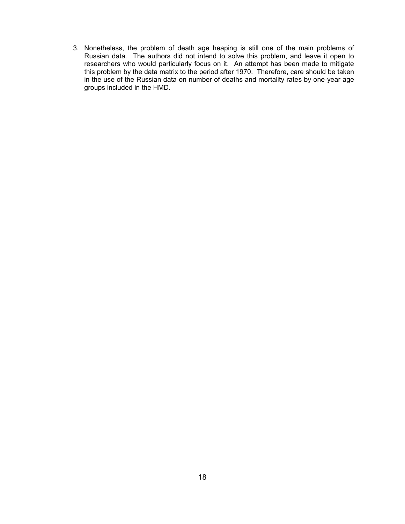3. Nonetheless, the problem of death age heaping is still one of the main problems of Russian data. The authors did not intend to solve this problem, and leave it open to researchers who would particularly focus on it. An attempt has been made to mitigate this problem by the data matrix to the period after 1970. Therefore, care should be taken in the use of the Russian data on number of deaths and mortality rates by one-year age groups included in the HMD.